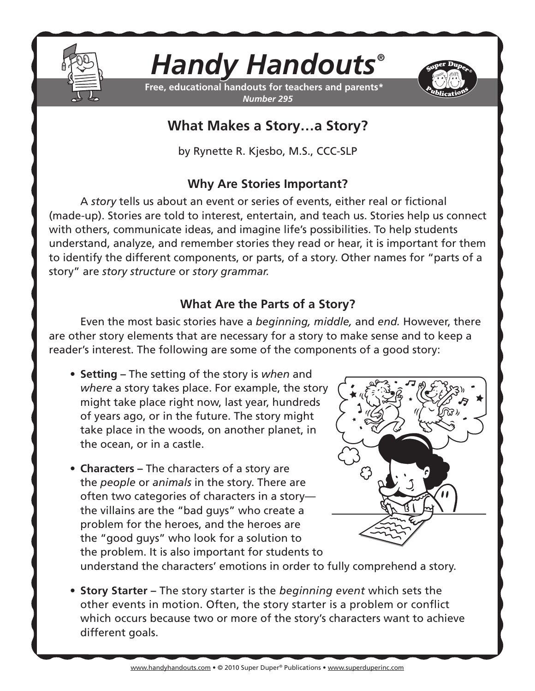

# *Handy Handouts®*

**Free, educational handouts for teachers and parents\*** *Number 295*



## **What Makes a Story…a Story?**

by Rynette R. Kjesbo, M.S., CCC-SLP

#### **Why Are Stories Important?**

A *story* tells us about an event or series of events, either real or fictional (made-up). Stories are told to interest, entertain, and teach us. Stories help us connect with others, communicate ideas, and imagine life's possibilities. To help students understand, analyze, and remember stories they read or hear, it is important for them to identify the different components, or parts, of a story. Other names for "parts of a story" are *story structure* or *story grammar.*

### **What Are the Parts of a Story?**

Even the most basic stories have a *beginning, middle,* and *end.* However, there are other story elements that are necessary for a story to make sense and to keep a reader's interest. The following are some of the components of a good story:

- **• Setting** The setting of the story is *when* and *where* a story takes place. For example, the story might take place right now, last year, hundreds of years ago, or in the future. The story might take place in the woods, on another planet, in the ocean, or in a castle.
- **Characters** The characters of a story are the *people* or *animals* in the story. There are often two categories of characters in a story the villains are the "bad guys" who create a problem for the heroes, and the heroes are the "good guys" who look for a solution to the problem. It is also important for students to



understand the characters' emotions in order to fully comprehend a story.

**• Story Starter** – The story starter is the *beginning event* which sets the other events in motion. Often, the story starter is a problem or conflict which occurs because two or more of the story's characters want to achieve different goals.